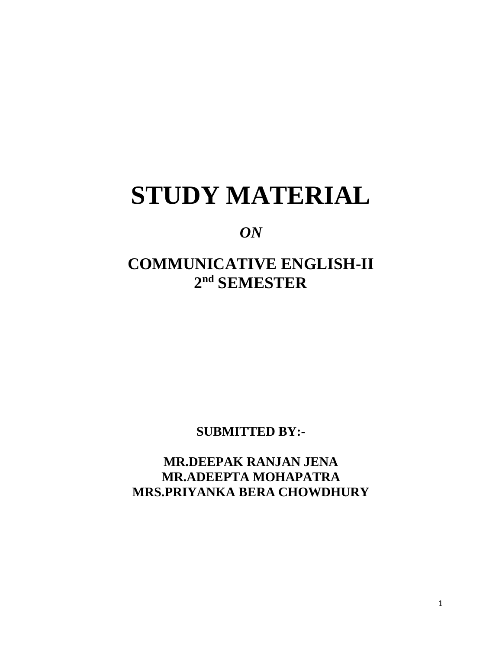# **STUDY MATERIAL**

### *ON*

## **COMMUNICATIVE ENGLISH-II 2 nd SEMESTER**

**SUBMITTED BY:-**

**MR.DEEPAK RANJAN JENA MR.ADEEPTA MOHAPATRA MRS.PRIYANKA BERA CHOWDHURY**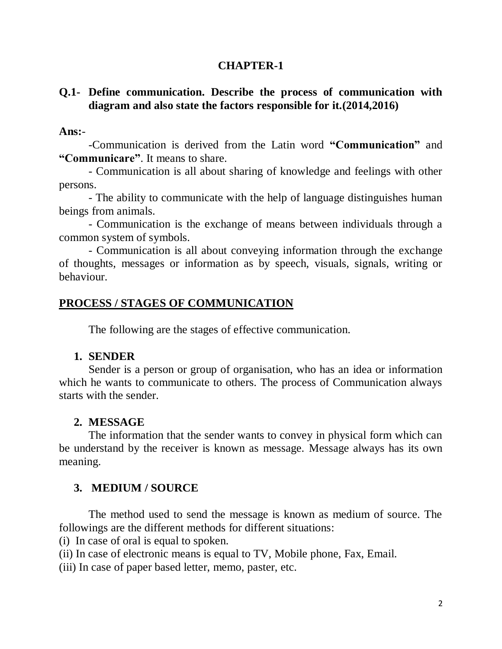#### **CHAPTER-1**

#### **Q.1- Define communication. Describe the process of communication with diagram and also state the factors responsible for it.(2014,2016)**

#### **Ans:**-

-Communication is derived from the Latin word **"Communication"** and **"Communicare"**. It means to share.

- Communication is all about sharing of knowledge and feelings with other persons.

- The ability to communicate with the help of language distinguishes human beings from animals.

- Communication is the exchange of means between individuals through a common system of symbols.

- Communication is all about conveying information through the exchange of thoughts, messages or information as by speech, visuals, signals, writing or behaviour.

#### **PROCESS / STAGES OF COMMUNICATION**

The following are the stages of effective communication.

#### **1. SENDER**

Sender is a person or group of organisation, who has an idea or information which he wants to communicate to others. The process of Communication always starts with the sender.

#### **2. MESSAGE**

The information that the sender wants to convey in physical form which can be understand by the receiver is known as message. Message always has its own meaning.

#### **3. MEDIUM / SOURCE**

The method used to send the message is known as medium of source. The followings are the different methods for different situations:

(i) In case of oral is equal to spoken.

(ii) In case of electronic means is equal to TV, Mobile phone, Fax, Email.

(iii) In case of paper based letter, memo, paster, etc.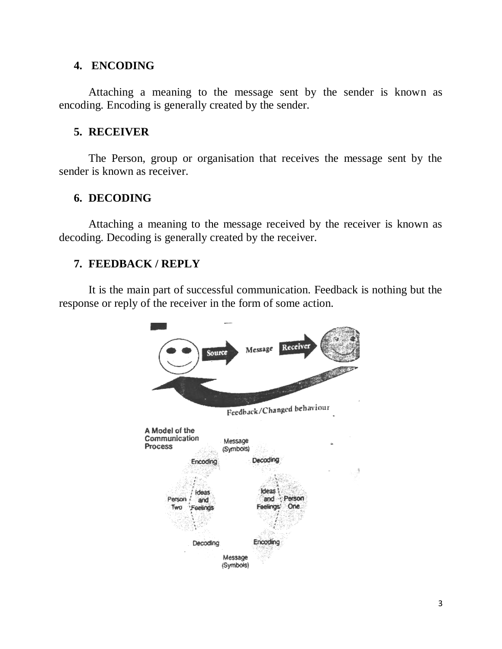#### **4. ENCODING**

Attaching a meaning to the message sent by the sender is known as encoding. Encoding is generally created by the sender.

#### **5. RECEIVER**

The Person, group or organisation that receives the message sent by the sender is known as receiver.

#### **6. DECODING**

Attaching a meaning to the message received by the receiver is known as decoding. Decoding is generally created by the receiver.

#### **7. FEEDBACK / REPLY**

It is the main part of successful communication. Feedback is nothing but the response or reply of the receiver in the form of some action.

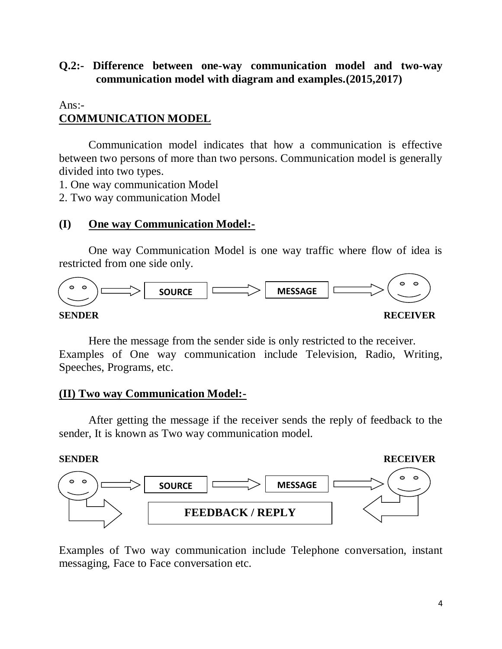#### **Q.2:- Difference between one-way communication model and two-way communication model with diagram and examples.(2015,2017)**

#### $Ans: -$ **COMMUNICATION MODEL**

Communication model indicates that how a communication is effective between two persons of more than two persons. Communication model is generally divided into two types.

1. One way communication Model

2. Two way communication Model

#### **(I) One way Communication Model:-**

One way Communication Model is one way traffic where flow of idea is restricted from one side only.



Here the message from the sender side is only restricted to the receiver. Examples of One way communication include Television, Radio, Writing, Speeches, Programs, etc.

#### **(II) Two way Communication Model:-**

After getting the message if the receiver sends the reply of feedback to the sender, It is known as Two way communication model.



Examples of Two way communication include Telephone conversation, instant messaging, Face to Face conversation etc.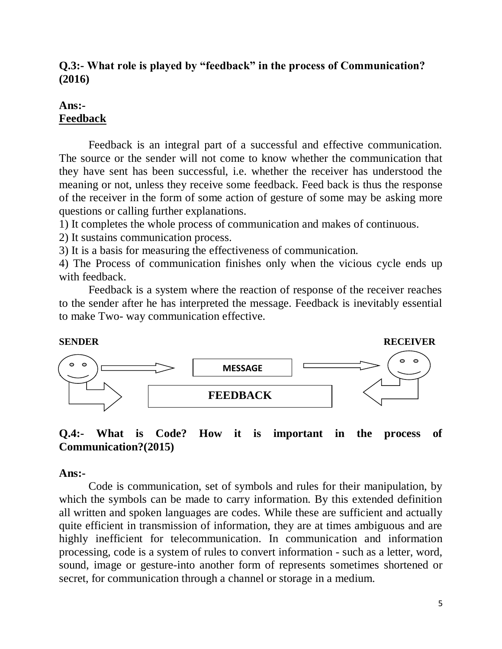#### **Q.3:- What role is played by "feedback" in the process of Communication? (2016)**

#### **Ans:- Feedback**

Feedback is an integral part of a successful and effective communication. The source or the sender will not come to know whether the communication that they have sent has been successful, i.e. whether the receiver has understood the meaning or not, unless they receive some feedback. Feed back is thus the response of the receiver in the form of some action of gesture of some may be asking more questions or calling further explanations.

1) It completes the whole process of communication and makes of continuous.

2) It sustains communication process.

3) It is a basis for measuring the effectiveness of communication.

4) The Process of communication finishes only when the vicious cycle ends up with feedback.

Feedback is a system where the reaction of response of the receiver reaches to the sender after he has interpreted the message. Feedback is inevitably essential to make Two- way communication effective.



#### **Q.4:- What is Code? How it is important in the process of Communication?(2015)**

#### **Ans:-**

Code is communication, set of symbols and rules for their manipulation, by which the symbols can be made to carry information. By this extended definition all written and spoken languages are codes. While these are sufficient and actually quite efficient in transmission of information, they are at times ambiguous and are highly inefficient for telecommunication. In communication and information processing, code is a system of rules to convert information - such as a letter, word, sound, image or gesture-into another form of represents sometimes shortened or secret, for communication through a channel or storage in a medium.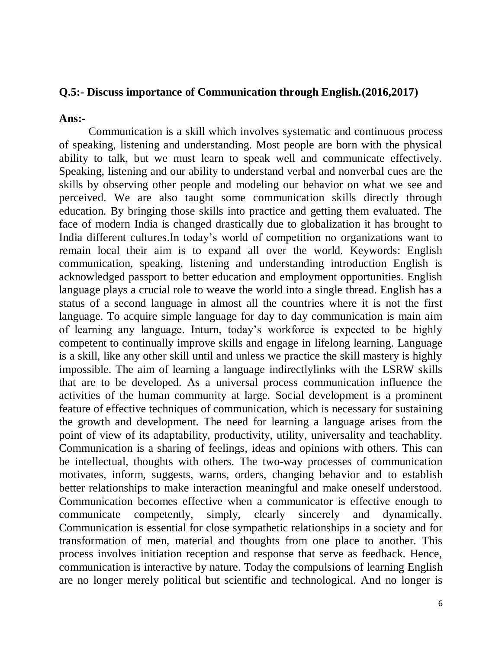#### **Q.5:- Discuss importance of Communication through English.(2016,2017)**

**Ans:-**

Communication is a skill which involves systematic and continuous process of speaking, listening and understanding. Most people are born with the physical ability to talk, but we must learn to speak well and communicate effectively. Speaking, listening and our ability to understand verbal and nonverbal cues are the skills by observing other people and modeling our behavior on what we see and perceived. We are also taught some communication skills directly through education. By bringing those skills into practice and getting them evaluated. The face of modern India is changed drastically due to globalization it has brought to India different cultures.In today's world of competition no organizations want to remain local their aim is to expand all over the world. Keywords: English communication, speaking, listening and understanding introduction English is acknowledged passport to better education and employment opportunities. English language plays a crucial role to weave the world into a single thread. English has a status of a second language in almost all the countries where it is not the first language. To acquire simple language for day to day communication is main aim of learning any language. Inturn, today's workforce is expected to be highly competent to continually improve skills and engage in lifelong learning. Language is a skill, like any other skill until and unless we practice the skill mastery is highly impossible. The aim of learning a language indirectlylinks with the LSRW skills that are to be developed. As a universal process communication influence the activities of the human community at large. Social development is a prominent feature of effective techniques of communication, which is necessary for sustaining the growth and development. The need for learning a language arises from the point of view of its adaptability, productivity, utility, universality and teachablity. Communication is a sharing of feelings, ideas and opinions with others. This can be intellectual, thoughts with others. The two-way processes of communication motivates, inform, suggests, warns, orders, changing behavior and to establish better relationships to make interaction meaningful and make oneself understood. Communication becomes effective when a communicator is effective enough to communicate competently, simply, clearly sincerely and dynamically. Communication is essential for close sympathetic relationships in a society and for transformation of men, material and thoughts from one place to another. This process involves initiation reception and response that serve as feedback. Hence, communication is interactive by nature. Today the compulsions of learning English are no longer merely political but scientific and technological. And no longer is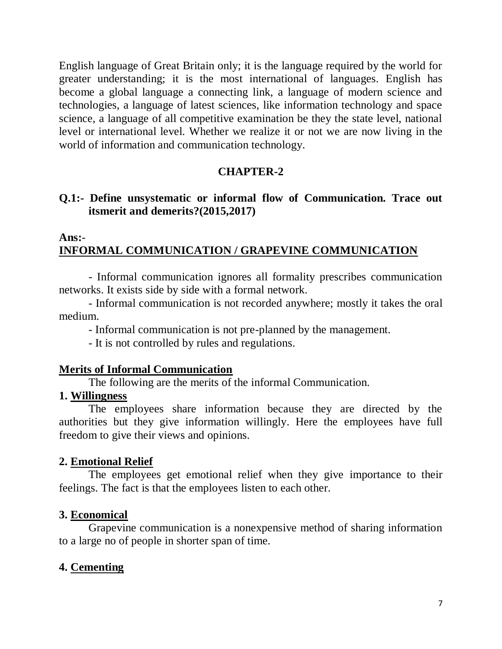English language of Great Britain only; it is the language required by the world for greater understanding; it is the most international of languages. English has become a global language a connecting link, a language of modern science and technologies, a language of latest sciences, like information technology and space science, a language of all competitive examination be they the state level, national level or international level. Whether we realize it or not we are now living in the world of information and communication technology.

#### **CHAPTER-2**

#### **Q.1:- Define unsystematic or informal flow of Communication. Trace out itsmerit and demerits?(2015,2017)**

#### **Ans:**- **INFORMAL COMMUNICATION / GRAPEVINE COMMUNICATION**

- Informal communication ignores all formality prescribes communication networks. It exists side by side with a formal network.

- Informal communication is not recorded anywhere; mostly it takes the oral medium.

- Informal communication is not pre-planned by the management.

- It is not controlled by rules and regulations.

#### **Merits of Informal Communication**

The following are the merits of the informal Communication.

#### **1. Willingness**

The employees share information because they are directed by the authorities but they give information willingly. Here the employees have full freedom to give their views and opinions.

#### **2. Emotional Relief**

The employees get emotional relief when they give importance to their feelings. The fact is that the employees listen to each other.

#### **3. Economical**

Grapevine communication is a nonexpensive method of sharing information to a large no of people in shorter span of time.

#### **4. Cementing**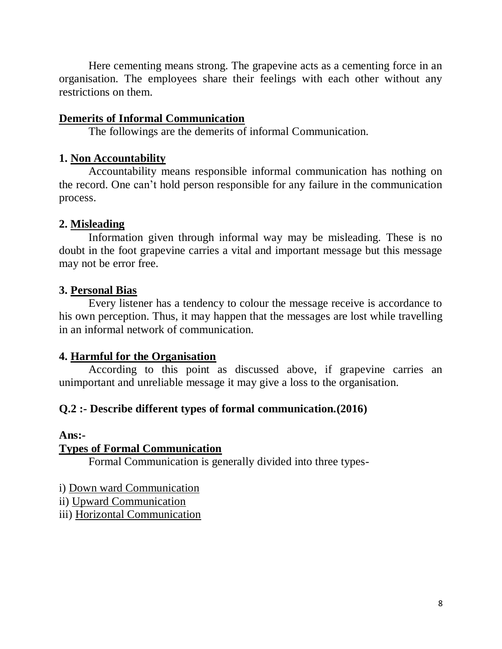Here cementing means strong. The grapevine acts as a cementing force in an organisation. The employees share their feelings with each other without any restrictions on them.

#### **Demerits of Informal Communication**

The followings are the demerits of informal Communication.

#### **1. Non Accountability**

Accountability means responsible informal communication has nothing on the record. One can't hold person responsible for any failure in the communication process.

#### **2. Misleading**

Information given through informal way may be misleading. These is no doubt in the foot grapevine carries a vital and important message but this message may not be error free.

#### **3. Personal Bias**

Every listener has a tendency to colour the message receive is accordance to his own perception. Thus, it may happen that the messages are lost while travelling in an informal network of communication.

#### **4. Harmful for the Organisation**

According to this point as discussed above, if grapevine carries an unimportant and unreliable message it may give a loss to the organisation.

#### **Q.2 :- Describe different types of formal communication.(2016)**

#### **Ans:-**

#### **Types of Formal Communication**

Formal Communication is generally divided into three types-

i) Down ward Communication

ii) Upward Communication

iii) Horizontal Communication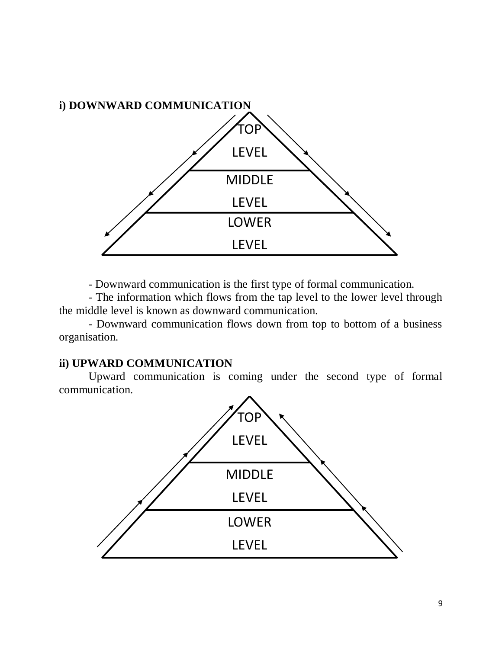

- Downward communication is the first type of formal communication.

- The information which flows from the tap level to the lower level through the middle level is known as downward communication.

- Downward communication flows down from top to bottom of a business organisation.

#### **ii) UPWARD COMMUNICATION**

Upward communication is coming under the second type of formal communication.

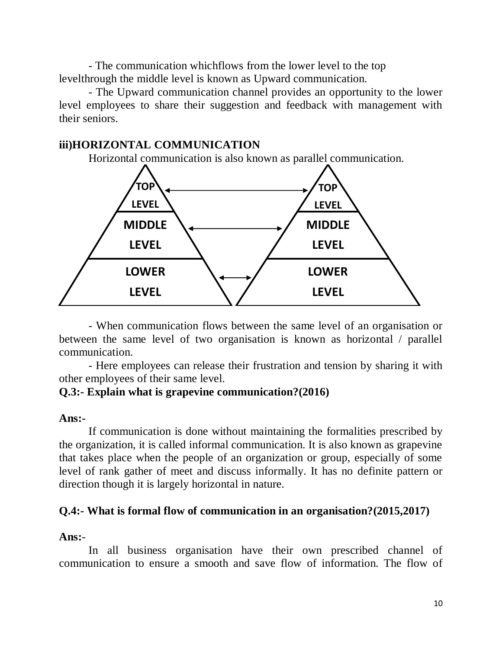- The communication whichflows from the lower level to the top levelthrough the middle level is known as Upward communication.

- The Upward communication channel provides an opportunity to the lower level employees to share their suggestion and feedback with management with their seniors.

#### **iii)HORIZONTAL COMMUNICATION**

Horizontal communication is also known as parallel communication.



- When communication flows between the same level of an organisation or between the same level of two organisation is known as horizontal / parallel communication.

- Here employees can release their frustration and tension by sharing it with other employees of their same level.

#### **Q.3:- Explain what is grapevine communication?(2016)**

#### **Ans:-**

If communication is done without maintaining the formalities prescribed by the organization, it is called informal communication. It is also known as grapevine that takes place when the people of an organization or group, especially of some level of rank gather of meet and discuss informally. It has no definite pattern or direction though it is largely horizontal in nature.

#### **Q.4:- What is formal flow of communication in an organisation?(2015,2017)**

#### **Ans:**-

In all business organisation have their own prescribed channel of communication to ensure a smooth and save flow of information. The flow of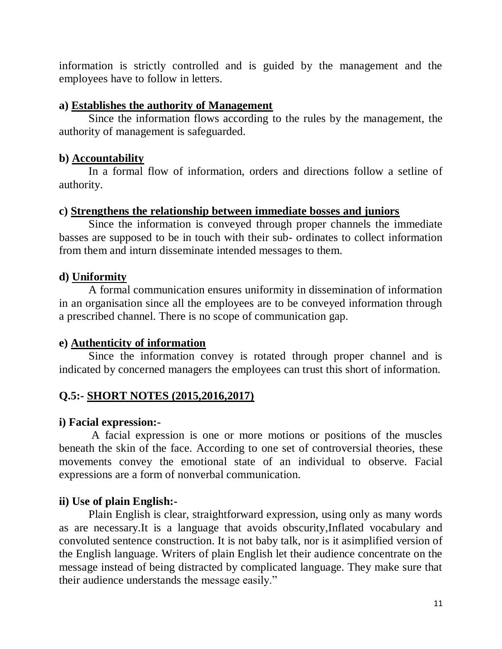information is strictly controlled and is guided by the management and the employees have to follow in letters.

#### **a) Establishes the authority of Management**

Since the information flows according to the rules by the management, the authority of management is safeguarded.

#### **b) Accountability**

In a formal flow of information, orders and directions follow a setline of authority.

#### **c) Strengthens the relationship between immediate bosses and juniors**

Since the information is conveyed through proper channels the immediate basses are supposed to be in touch with their sub- ordinates to collect information from them and inturn disseminate intended messages to them.

#### **d) Uniformity**

A formal communication ensures uniformity in dissemination of information in an organisation since all the employees are to be conveyed information through a prescribed channel. There is no scope of communication gap.

#### **e) Authenticity of information**

Since the information convey is rotated through proper channel and is indicated by concerned managers the employees can trust this short of information.

### **Q.5:- SHORT NOTES (2015,2016,2017)**

#### **i) Facial expression:-**

A facial expression is one or more motions or positions of the muscles beneath the skin of the face. According to one set of controversial theories, these movements convey the emotional state of an individual to observe. Facial expressions are a form of nonverbal communication.

#### **ii) Use of plain English:-**

Plain English is clear, straightforward expression, using only as many words as are necessary.It is a language that avoids obscurity,Inflated vocabulary and convoluted sentence construction. It is not baby talk, nor is it asimplified version of the English language. Writers of plain English let their audience concentrate on the message instead of being distracted by complicated language. They make sure that their audience understands the message easily."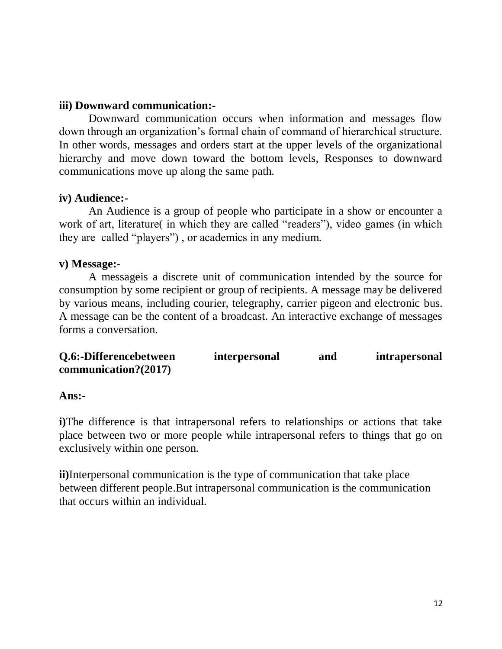#### **iii) Downward communication:-**

Downward communication occurs when information and messages flow down through an organization's formal chain of command of hierarchical structure. In other words, messages and orders start at the upper levels of the organizational hierarchy and move down toward the bottom levels, Responses to downward communications move up along the same path.

#### **iv) Audience:-**

An Audience is a group of people who participate in a show or encounter a work of art, literature( in which they are called "readers"), video games (in which they are called "players") , or academics in any medium.

#### **v) Message:-**

A messageis a discrete unit of communication intended by the source for consumption by some recipient or group of recipients. A message may be delivered by various means, including courier, telegraphy, carrier pigeon and electronic bus. A message can be the content of a broadcast. An interactive exchange of messages forms a conversation.

| Q.6:-Differencebetween | <i>interpersonal</i> | and | intrapersonal |
|------------------------|----------------------|-----|---------------|
| communication?(2017)   |                      |     |               |

#### **Ans:-**

**i)**The difference is that intrapersonal refers to relationships or actions that take place between two or more people while intrapersonal refers to things that go on exclusively within one person.

**ii)**Interpersonal communication is the type of communication that take place between different people.But intrapersonal communication is the communication that occurs within an individual.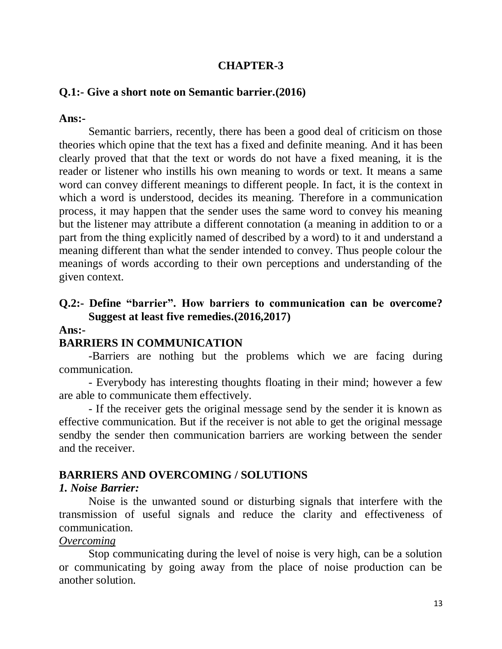#### **CHAPTER-3**

#### **Q.1:- Give a short note on Semantic barrier.(2016)**

#### **Ans:-**

Semantic barriers, recently, there has been a good deal of criticism on those theories which opine that the text has a fixed and definite meaning. And it has been clearly proved that that the text or words do not have a fixed meaning, it is the reader or listener who instills his own meaning to words or text. It means a same word can convey different meanings to different people. In fact, it is the context in which a word is understood, decides its meaning. Therefore in a communication process, it may happen that the sender uses the same word to convey his meaning but the listener may attribute a different connotation (a meaning in addition to or a part from the thing explicitly named of described by a word) to it and understand a meaning different than what the sender intended to convey. Thus people colour the meanings of words according to their own perceptions and understanding of the given context.

#### **Q.2:- Define "barrier". How barriers to communication can be overcome? Suggest at least five remedies.(2016,2017)**

#### **Ans:-**

#### **BARRIERS IN COMMUNICATION**

-Barriers are nothing but the problems which we are facing during communication.

- Everybody has interesting thoughts floating in their mind; however a few are able to communicate them effectively.

- If the receiver gets the original message send by the sender it is known as effective communication. But if the receiver is not able to get the original message sendby the sender then communication barriers are working between the sender and the receiver.

#### **BARRIERS AND OVERCOMING / SOLUTIONS**

#### *1. Noise Barrier:*

Noise is the unwanted sound or disturbing signals that interfere with the transmission of useful signals and reduce the clarity and effectiveness of communication.

#### *Overcoming*

Stop communicating during the level of noise is very high, can be a solution or communicating by going away from the place of noise production can be another solution.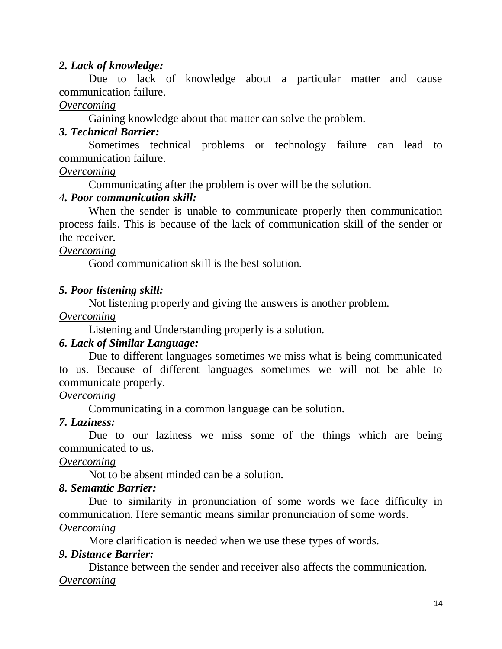#### *2. Lack of knowledge:*

Due to lack of knowledge about a particular matter and cause communication failure.

#### *Overcoming*

Gaining knowledge about that matter can solve the problem.

#### *3. Technical Barrier:*

Sometimes technical problems or technology failure can lead to communication failure.

#### *Overcoming*

Communicating after the problem is over will be the solution.

#### *4. Poor communication skill:*

When the sender is unable to communicate properly then communication process fails. This is because of the lack of communication skill of the sender or the receiver.

#### *Overcoming*

Good communication skill is the best solution.

#### *5. Poor listening skill:*

Not listening properly and giving the answers is another problem.

#### *Overcoming*

Listening and Understanding properly is a solution.

#### *6. Lack of Similar Language:*

Due to different languages sometimes we miss what is being communicated to us. Because of different languages sometimes we will not be able to communicate properly.

#### *Overcoming*

Communicating in a common language can be solution.

#### *7. Laziness:*

Due to our laziness we miss some of the things which are being communicated to us.

#### *Overcoming*

Not to be absent minded can be a solution.

#### *8. Semantic Barrier:*

Due to similarity in pronunciation of some words we face difficulty in communication. Here semantic means similar pronunciation of some words.

#### *Overcoming*

More clarification is needed when we use these types of words.

#### *9. Distance Barrier:*

Distance between the sender and receiver also affects the communication. *Overcoming*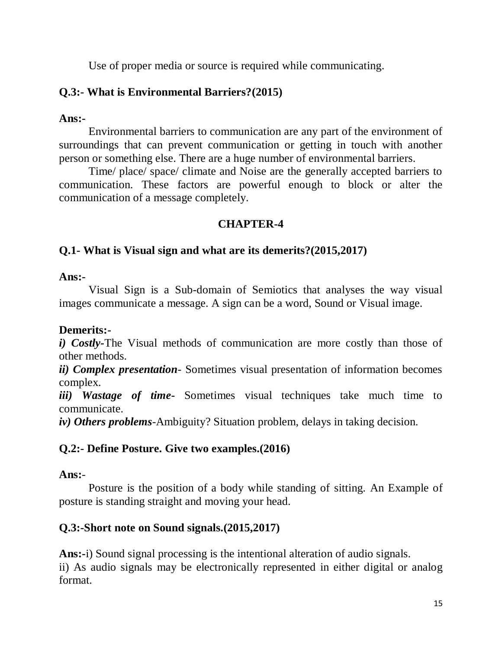Use of proper media or source is required while communicating.

### **Q.3:- What is Environmental Barriers?(2015)**

#### **Ans:-**

Environmental barriers to communication are any part of the environment of surroundings that can prevent communication or getting in touch with another person or something else. There are a huge number of environmental barriers.

Time/ place/ space/ climate and Noise are the generally accepted barriers to communication. These factors are powerful enough to block or alter the communication of a message completely.

#### **CHAPTER-4**

#### **Q.1- What is Visual sign and what are its demerits?(2015,2017)**

#### **Ans:-**

Visual Sign is a Sub-domain of Semiotics that analyses the way visual images communicate a message. A sign can be a word, Sound or Visual image.

#### **Demerits:-**

*i) Costly-*The Visual methods of communication are more costly than those of other methods.

*ii) Complex presentation-* Sometimes visual presentation of information becomes complex.

*iii*) Wastage of time- Sometimes visual techniques take much time to communicate.

*iv) Others problems-*Ambiguity? Situation problem, delays in taking decision.

#### **Q.2:- Define Posture. Give two examples.(2016)**

#### **Ans:**-

Posture is the position of a body while standing of sitting. An Example of posture is standing straight and moving your head.

#### **Q.3:-Short note on Sound signals.(2015,2017)**

**Ans:-**i) Sound signal processing is the intentional alteration of audio signals. ii) As audio signals may be electronically represented in either digital or analog format.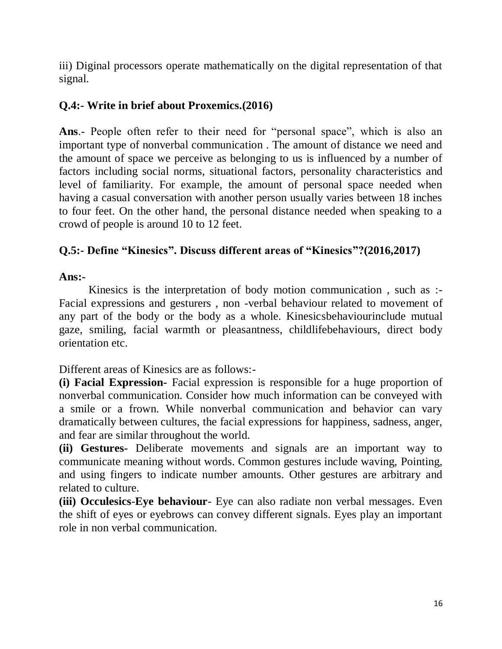iii) Diginal processors operate mathematically on the digital representation of that signal.

#### **Q.4:- Write in brief about Proxemics.(2016)**

**Ans**.- People often refer to their need for "personal space", which is also an important type of nonverbal communication . The amount of distance we need and the amount of space we perceive as belonging to us is influenced by a number of factors including social norms, situational factors, personality characteristics and level of familiarity. For example, the amount of personal space needed when having a casual conversation with another person usually varies between 18 inches to four feet. On the other hand, the personal distance needed when speaking to a crowd of people is around 10 to 12 feet.

#### **Q.5:- Define "Kinesics". Discuss different areas of "Kinesics"?(2016,2017)**

#### **Ans:-**

Kinesics is the interpretation of body motion communication , such as :- Facial expressions and gesturers , non -verbal behaviour related to movement of any part of the body or the body as a whole. Kinesicsbehaviourinclude mutual gaze, smiling, facial warmth or pleasantness, childlifebehaviours, direct body orientation etc.

Different areas of Kinesics are as follows:-

**(i) Facial Expression-** Facial expression is responsible for a huge proportion of nonverbal communication. Consider how much information can be conveyed with a smile or a frown. While nonverbal communication and behavior can vary dramatically between cultures, the facial expressions for happiness, sadness, anger, and fear are similar throughout the world.

**(ii) Gestures-** Deliberate movements and signals are an important way to communicate meaning without words. Common gestures include waving, Pointing, and using fingers to indicate number amounts. Other gestures are arbitrary and related to culture.

**(iii) Occulesics**-**Eye behaviour**- Eye can also radiate non verbal messages. Even the shift of eyes or eyebrows can convey different signals. Eyes play an important role in non verbal communication.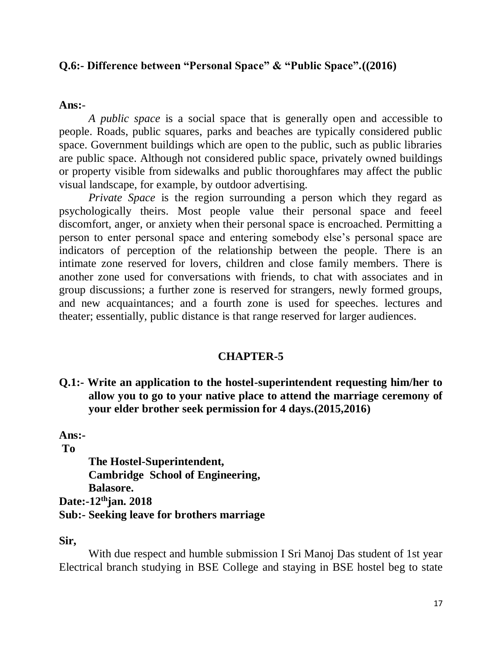#### **Q.6:- Difference between "Personal Space" & "Public Space".((2016)**

#### **Ans:**-

*A public space* is a social space that is generally open and accessible to people. Roads, public squares, parks and beaches are typically considered public space. Government buildings which are open to the public, such as public libraries are public space. Although not considered public space, privately owned buildings or property visible from sidewalks and public thoroughfares may affect the public visual landscape, for example, by outdoor advertising.

*Private Space* is the region surrounding a person which they regard as psychologically theirs. Most people value their personal space and feeel discomfort, anger, or anxiety when their personal space is encroached. Permitting a person to enter personal space and entering somebody else's personal space are indicators of perception of the relationship between the people. There is an intimate zone reserved for lovers, children and close family members. There is another zone used for conversations with friends, to chat with associates and in group discussions; a further zone is reserved for strangers, newly formed groups, and new acquaintances; and a fourth zone is used for speeches. lectures and theater; essentially, public distance is that range reserved for larger audiences.

#### **CHAPTER-5**

**Q.1:- Write an application to the hostel-superintendent requesting him/her to allow you to go to your native place to attend the marriage ceremony of your elder brother seek permission for 4 days.(2015,2016)**

**Ans:-**

**To**

**The Hostel-Superintendent, Cambridge School of Engineering, Balasore. Date:-12thjan. 2018 Sub:- Seeking leave for brothers marriage**

**Sir,**

With due respect and humble submission I Sri Manoj Das student of 1st year Electrical branch studying in BSE College and staying in BSE hostel beg to state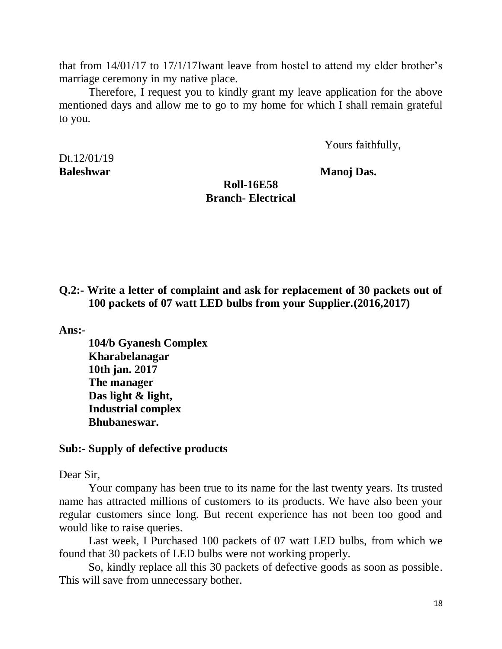that from 14/01/17 to 17/1/17Iwant leave from hostel to attend my elder brother's marriage ceremony in my native place.

Therefore, I request you to kindly grant my leave application for the above mentioned days and allow me to go to my home for which I shall remain grateful to you.

Yours faithfully,

Dt.12/01/19

**Baleshwar** Manoj Das.

#### **Roll-16E58 Branch- Electrical**

**Q.2:- Write a letter of complaint and ask for replacement of 30 packets out of 100 packets of 07 watt LED bulbs from your Supplier.(2016,2017)**

**Ans:-**

**104/b Gyanesh Complex Kharabelanagar 10th jan. 2017 The manager Das light & light, Industrial complex Bhubaneswar.**

#### **Sub:- Supply of defective products**

Dear Sir,

Your company has been true to its name for the last twenty years. Its trusted name has attracted millions of customers to its products. We have also been your regular customers since long. But recent experience has not been too good and would like to raise queries.

Last week, I Purchased 100 packets of 07 watt LED bulbs, from which we found that 30 packets of LED bulbs were not working properly.

So, kindly replace all this 30 packets of defective goods as soon as possible. This will save from unnecessary bother.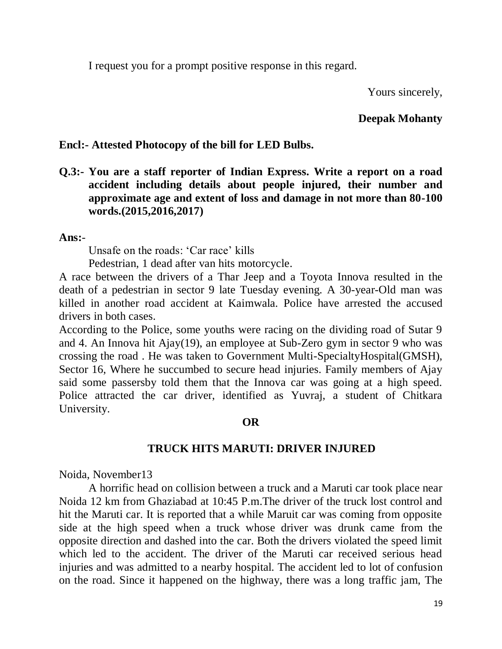I request you for a prompt positive response in this regard.

Yours sincerely,

#### **Deepak Mohanty**

#### **Encl:- Attested Photocopy of the bill for LED Bulbs.**

**Q.3:- You are a staff reporter of Indian Express. Write a report on a road accident including details about people injured, their number and approximate age and extent of loss and damage in not more than 80-100 words.(2015,2016,2017)**

#### **Ans:**-

Unsafe on the roads: 'Car race' kills

Pedestrian, 1 dead after van hits motorcycle.

A race between the drivers of a Thar Jeep and a Toyota Innova resulted in the death of a pedestrian in sector 9 late Tuesday evening. A 30-year-Old man was killed in another road accident at Kaimwala. Police have arrested the accused drivers in both cases.

According to the Police, some youths were racing on the dividing road of Sutar 9 and 4. An Innova hit Ajay(19), an employee at Sub-Zero gym in sector 9 who was crossing the road . He was taken to Government Multi-SpecialtyHospital(GMSH), Sector 16, Where he succumbed to secure head injuries. Family members of Ajay said some passersby told them that the Innova car was going at a high speed. Police attracted the car driver, identified as Yuvraj, a student of Chitkara University.

#### **OR**

#### **TRUCK HITS MARUTI: DRIVER INJURED**

Noida, November13

A horrific head on collision between a truck and a Maruti car took place near Noida 12 km from Ghaziabad at 10:45 P.m.The driver of the truck lost control and hit the Maruti car. It is reported that a while Maruit car was coming from opposite side at the high speed when a truck whose driver was drunk came from the opposite direction and dashed into the car. Both the drivers violated the speed limit which led to the accident. The driver of the Maruti car received serious head injuries and was admitted to a nearby hospital. The accident led to lot of confusion on the road. Since it happened on the highway, there was a long traffic jam, The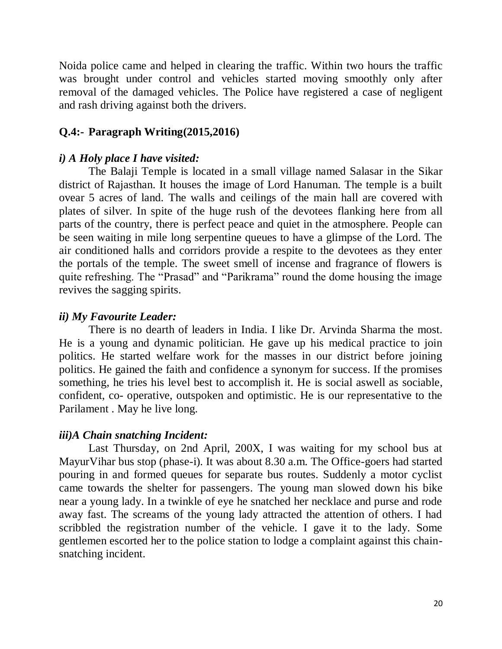Noida police came and helped in clearing the traffic. Within two hours the traffic was brought under control and vehicles started moving smoothly only after removal of the damaged vehicles. The Police have registered a case of negligent and rash driving against both the drivers.

#### **Q.4:- Paragraph Writing(2015,2016)**

#### *i) A Holy place I have visited:*

The Balaji Temple is located in a small village named Salasar in the Sikar district of Rajasthan. It houses the image of Lord Hanuman. The temple is a built ovear 5 acres of land. The walls and ceilings of the main hall are covered with plates of silver. In spite of the huge rush of the devotees flanking here from all parts of the country, there is perfect peace and quiet in the atmosphere. People can be seen waiting in mile long serpentine queues to have a glimpse of the Lord. The air conditioned halls and corridors provide a respite to the devotees as they enter the portals of the temple. The sweet smell of incense and fragrance of flowers is quite refreshing. The "Prasad" and "Parikrama" round the dome housing the image revives the sagging spirits.

#### *ii) My Favourite Leader:*

There is no dearth of leaders in India. I like Dr. Arvinda Sharma the most. He is a young and dynamic politician. He gave up his medical practice to join politics. He started welfare work for the masses in our district before joining politics. He gained the faith and confidence a synonym for success. If the promises something, he tries his level best to accomplish it. He is social aswell as sociable, confident, co- operative, outspoken and optimistic. He is our representative to the Parilament . May he live long.

#### *iii)A Chain snatching Incident:*

Last Thursday, on 2nd April, 200X, I was waiting for my school bus at MayurVihar bus stop (phase-i). It was about 8.30 a.m. The Office-goers had started pouring in and formed queues for separate bus routes. Suddenly a motor cyclist came towards the shelter for passengers. The young man slowed down his bike near a young lady. In a twinkle of eye he snatched her necklace and purse and rode away fast. The screams of the young lady attracted the attention of others. I had scribbled the registration number of the vehicle. I gave it to the lady. Some gentlemen escorted her to the police station to lodge a complaint against this chainsnatching incident.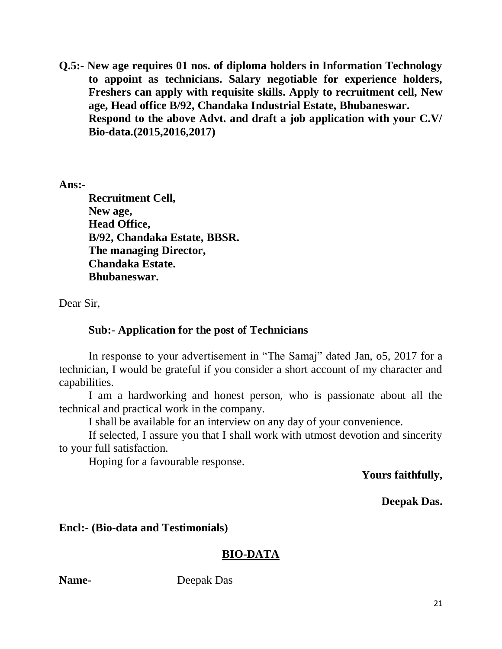**Q.5:- New age requires 01 nos. of diploma holders in Information Technology to appoint as technicians. Salary negotiable for experience holders, Freshers can apply with requisite skills. Apply to recruitment cell, New age, Head office B/92, Chandaka Industrial Estate, Bhubaneswar. Respond to the above Advt. and draft a job application with your C.V/ Bio-data.(2015,2016,2017)**

**Ans:-**

**Recruitment Cell, New age, Head Office, B/92, Chandaka Estate, BBSR. The managing Director, Chandaka Estate. Bhubaneswar.**

Dear Sir,

#### **Sub:- Application for the post of Technicians**

In response to your advertisement in "The Samaj" dated Jan, o5, 2017 for a technician, I would be grateful if you consider a short account of my character and capabilities.

I am a hardworking and honest person, who is passionate about all the technical and practical work in the company.

I shall be available for an interview on any day of your convenience.

If selected, I assure you that I shall work with utmost devotion and sincerity to your full satisfaction.

Hoping for a favourable response.

#### **Yours faithfully,**

**Deepak Das.**

#### **Encl:- (Bio-data and Testimonials)**

#### **BIO-DATA**

**Name-** Deepak Das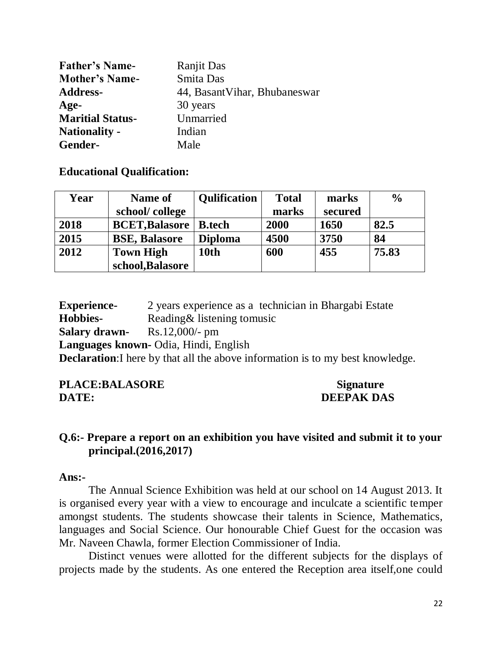| <b>Father's Name-</b>   | <b>Ranjit Das</b>            |
|-------------------------|------------------------------|
| <b>Mother's Name-</b>   | Smita Das                    |
| <b>Address-</b>         | 44, BasantVihar, Bhubaneswar |
| Age-                    | 30 years                     |
| <b>Maritial Status-</b> | Unmarried                    |
| <b>Nationality -</b>    | Indian                       |
| Gender-                 | Male                         |

#### **Educational Qualification:**

| Year | Name of               | <b>Qulification</b> | <b>Total</b> | marks   | $\frac{0}{0}$ |
|------|-----------------------|---------------------|--------------|---------|---------------|
|      | school/college        |                     | marks        | secured |               |
| 2018 | <b>BCET, Balasore</b> | <b>B.tech</b>       | 2000         | 1650    | 82.5          |
| 2015 | <b>BSE, Balasore</b>  | <b>Diploma</b>      | 4500         | 3750    | 84            |
| 2012 | <b>Town High</b>      | 10th                | 600          | 455     | 75.83         |
|      | school, Balasore      |                     |              |         |               |

**Experience-** 2 years experience as a technician in Bhargabi Estate **Hobbies-** Reading& listening tomusic **Salary drawn-** Rs.12,000/- pm **Languages known-** Odia, Hindi, English **Declaration:** I here by that all the above information is to my best knowledge.

PLACE:BALASORE Signature **DATE:** DEEPAK DAS

#### **Q.6:- Prepare a report on an exhibition you have visited and submit it to your principal.(2016,2017)**

#### **Ans:-**

The Annual Science Exhibition was held at our school on 14 August 2013. It is organised every year with a view to encourage and inculcate a scientific temper amongst students. The students showcase their talents in Science, Mathematics, languages and Social Science. Our honourable Chief Guest for the occasion was Mr. Naveen Chawla, former Election Commissioner of India.

Distinct venues were allotted for the different subjects for the displays of projects made by the students. As one entered the Reception area itself,one could